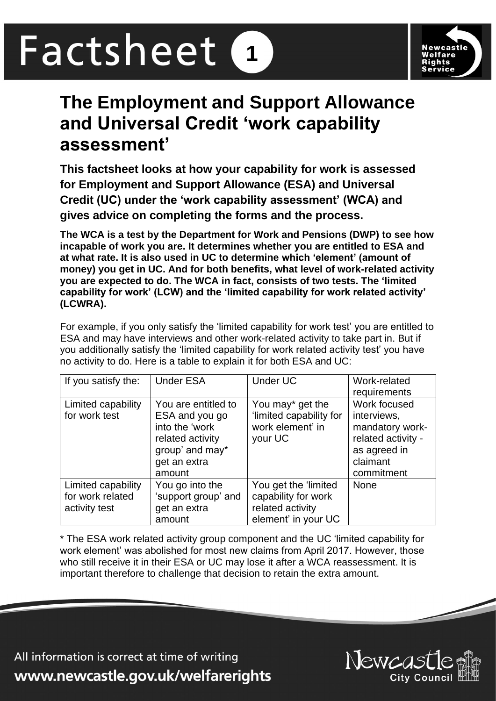# Factsheet **1**



# **The Employment and Support Allowance and Universal Credit 'work capability assessment'**

**This factsheet looks at how your capability for work is assessed for Employment and Support Allowance (ESA) and Universal Credit (UC) under the 'work capability assessment' (WCA) and gives advice on completing the forms and the process.** 

**The WCA is a test by the Department for Work and Pensions (DWP) to see how incapable of work you are. It determines whether you are entitled to ESA and at what rate. It is also used in UC to determine which 'element' (amount of money) you get in UC. And for both benefits, what level of work-related activity you are expected to do. The WCA in fact, consists of two tests. The 'limited capability for work' (LCW) and the 'limited capability for work related activity' (LCWRA).** 

For example, if you only satisfy the 'limited capability for work test' you are entitled to ESA and may have interviews and other work-related activity to take part in. But if you additionally satisfy the 'limited capability for work related activity test' you have no activity to do. Here is a table to explain it for both ESA and UC:

| If you satisfy the:                                     | <b>Under ESA</b>                                                                                                         | <b>Under UC</b>                                                                        | Work-related<br>requirements                                                                                   |
|---------------------------------------------------------|--------------------------------------------------------------------------------------------------------------------------|----------------------------------------------------------------------------------------|----------------------------------------------------------------------------------------------------------------|
| Limited capability<br>for work test                     | You are entitled to<br>ESA and you go<br>into the 'work<br>related activity<br>group' and may*<br>get an extra<br>amount | You may* get the<br>'limited capability for<br>work element' in<br>your UC             | Work focused<br>interviews,<br>mandatory work-<br>related activity -<br>as agreed in<br>claimant<br>commitment |
| Limited capability<br>for work related<br>activity test | You go into the<br>'support group' and<br>get an extra<br>amount                                                         | You get the 'limited<br>capability for work<br>related activity<br>element' in your UC | <b>None</b>                                                                                                    |

\* The ESA work related activity group component and the UC 'limited capability for work element' was abolished for most new claims from April 2017. However, those who still receive it in their ESA or UC may lose it after a WCA reassessment. It is important therefore to challenge that decision to retain the extra amount.

All information is correct at time of writing www.newcastle.gov.uk/welfarerights

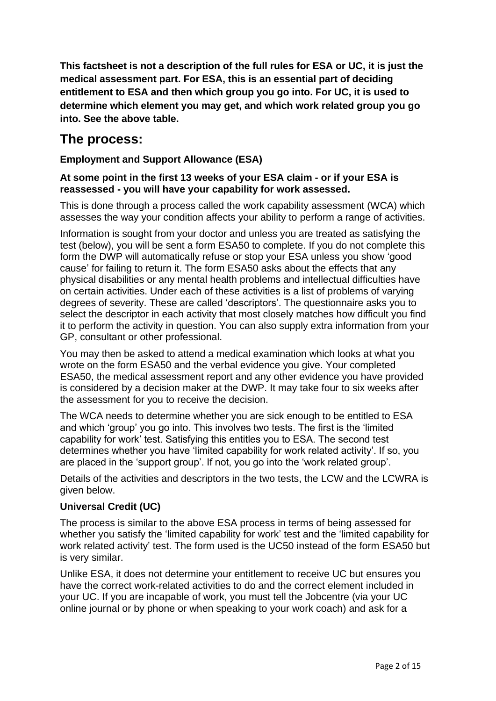**This factsheet is not a description of the full rules for ESA or UC, it is just the medical assessment part. For ESA, this is an essential part of deciding entitlement to ESA and then which group you go into. For UC, it is used to determine which element you may get, and which work related group you go into. See the above table.**

# **The process:**

#### **Employment and Support Allowance (ESA)**

#### **At some point in the first 13 weeks of your ESA claim - or if your ESA is reassessed - you will have your capability for work assessed.**

This is done through a process called the work capability assessment (WCA) which assesses the way your condition affects your ability to perform a range of activities.

Information is sought from your doctor and unless you are treated as satisfying the test (below), you will be sent a form ESA50 to complete. If you do not complete this form the DWP will automatically refuse or stop your ESA unless you show 'good cause' for failing to return it. The form ESA50 asks about the effects that any physical disabilities or any mental health problems and intellectual difficulties have on certain activities. Under each of these activities is a list of problems of varying degrees of severity. These are called 'descriptors'. The questionnaire asks you to select the descriptor in each activity that most closely matches how difficult you find it to perform the activity in question. You can also supply extra information from your GP, consultant or other professional.

You may then be asked to attend a medical examination which looks at what you wrote on the form ESA50 and the verbal evidence you give. Your completed ESA50, the medical assessment report and any other evidence you have provided is considered by a decision maker at the DWP. It may take four to six weeks after the assessment for you to receive the decision.

The WCA needs to determine whether you are sick enough to be entitled to ESA and which 'group' you go into. This involves two tests. The first is the 'limited capability for work' test. Satisfying this entitles you to ESA. The second test determines whether you have 'limited capability for work related activity'. If so, you are placed in the 'support group'. If not, you go into the 'work related group'.

Details of the activities and descriptors in the two tests, the LCW and the LCWRA is given below.

#### **Universal Credit (UC)**

The process is similar to the above ESA process in terms of being assessed for whether you satisfy the 'limited capability for work' test and the 'limited capability for work related activity' test. The form used is the UC50 instead of the form ESA50 but is very similar.

Unlike ESA, it does not determine your entitlement to receive UC but ensures you have the correct work-related activities to do and the correct element included in your UC. If you are incapable of work, you must tell the Jobcentre (via your UC online journal or by phone or when speaking to your work coach) and ask for a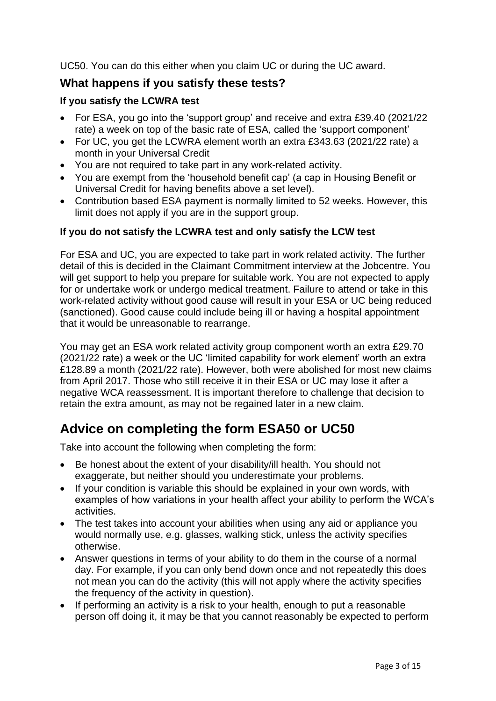UC50. You can do this either when you claim UC or during the UC award.

### **What happens if you satisfy these tests?**

#### **If you satisfy the LCWRA test**

- For ESA, you go into the 'support group' and receive and extra £39.40 (2021/22 rate) a week on top of the basic rate of ESA, called the 'support component'
- For UC, you get the LCWRA element worth an extra £343.63 (2021/22 rate) a month in your Universal Credit
- You are not required to take part in any work-related activity.
- You are exempt from the 'household benefit cap' (a cap in Housing Benefit or Universal Credit for having benefits above a set level).
- Contribution based ESA payment is normally limited to 52 weeks. However, this limit does not apply if you are in the support group.

#### **If you do not satisfy the LCWRA test and only satisfy the LCW test**

For ESA and UC, you are expected to take part in work related activity. The further detail of this is decided in the Claimant Commitment interview at the Jobcentre. You will get support to help you prepare for suitable work. You are not expected to apply for or undertake work or undergo medical treatment. Failure to attend or take in this work-related activity without good cause will result in your ESA or UC being reduced (sanctioned). Good cause could include being ill or having a hospital appointment that it would be unreasonable to rearrange.

You may get an ESA work related activity group component worth an extra £29.70 (2021/22 rate) a week or the UC 'limited capability for work element' worth an extra £128.89 a month (2021/22 rate). However, both were abolished for most new claims from April 2017. Those who still receive it in their ESA or UC may lose it after a negative WCA reassessment. It is important therefore to challenge that decision to retain the extra amount, as may not be regained later in a new claim.

# **Advice on completing the form ESA50 or UC50**

Take into account the following when completing the form:

- Be honest about the extent of your disability/ill health. You should not exaggerate, but neither should you underestimate your problems.
- If your condition is variable this should be explained in your own words, with examples of how variations in your health affect your ability to perform the WCA's activities.
- The test takes into account your abilities when using any aid or appliance you would normally use, e.g. glasses, walking stick, unless the activity specifies otherwise.
- Answer questions in terms of your ability to do them in the course of a normal day. For example, if you can only bend down once and not repeatedly this does not mean you can do the activity (this will not apply where the activity specifies the frequency of the activity in question).
- If performing an activity is a risk to your health, enough to put a reasonable person off doing it, it may be that you cannot reasonably be expected to perform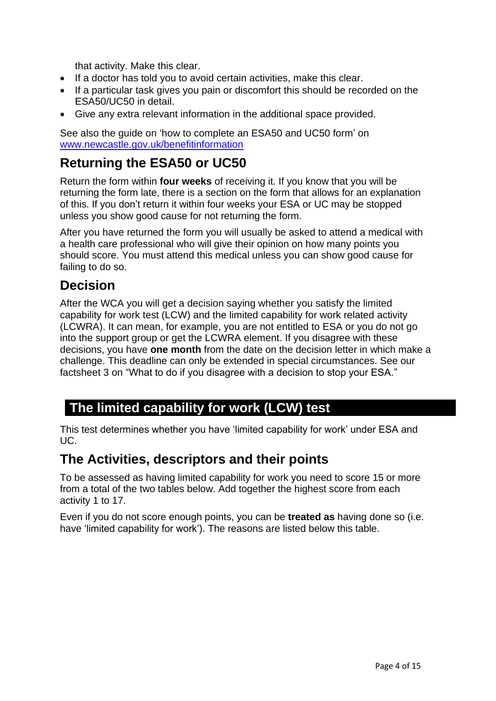that activity. Make this clear.

- If a doctor has told you to avoid certain activities, make this clear.
- If a particular task gives you pain or discomfort this should be recorded on the ESA50/UC50 in detail.
- Give any extra relevant information in the additional space provided.

See also the guide on 'how to complete an ESA50 and UC50 form' on [www.newcastle.gov.uk/benefitinformation](http://www.newcastle.gov.uk/benefitinformation)

## **Returning the ESA50 or UC50**

Return the form within **four weeks** of receiving it. If you know that you will be returning the form late, there is a section on the form that allows for an explanation of this. If you don't return it within four weeks your ESA or UC may be stopped unless you show good cause for not returning the form.

After you have returned the form you will usually be asked to attend a medical with a health care professional who will give their opinion on how many points you should score. You must attend this medical unless you can show good cause for failing to do so.

# **Decision**

After the WCA you will get a decision saying whether you satisfy the limited capability for work test (LCW) and the limited capability for work related activity (LCWRA). It can mean, for example, you are not entitled to ESA or you do not go into the support group or get the LCWRA element. If you disagree with these decisions, you have **one month** from the date on the decision letter in which make a challenge. This deadline can only be extended in special circumstances. See our factsheet 3 on "What to do if you disagree with a decision to stop your ESA."

## **The limited capability for work (LCW) test**

This test determines whether you have 'limited capability for work' under ESA and UC.

## **The Activities, descriptors and their points**

To be assessed as having limited capability for work you need to score 15 or more from a total of the two tables below. Add together the highest score from each activity 1 to 17.

Even if you do not score enough points, you can be **treated as** having done so (i.e. have 'limited capability for work'). The reasons are listed below this table.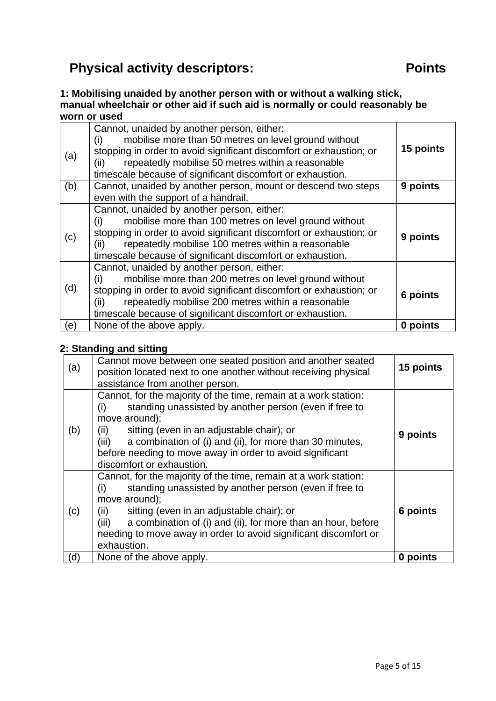# **Physical activity descriptors: Physical activity descriptors: Points**

**1: Mobilising unaided by another person with or without a walking stick, manual wheelchair or other aid if such aid is normally or could reasonably be worn or used**

| (a) | Cannot, unaided by another person, either:<br>mobilise more than 50 metres on level ground without<br>(i)<br>stopping in order to avoid significant discomfort or exhaustion; or<br>repeatedly mobilise 50 metres within a reasonable<br>(ii)<br>timescale because of significant discomfort or exhaustion.   | 15 points |
|-----|---------------------------------------------------------------------------------------------------------------------------------------------------------------------------------------------------------------------------------------------------------------------------------------------------------------|-----------|
| (b) | Cannot, unaided by another person, mount or descend two steps<br>even with the support of a handrail.                                                                                                                                                                                                         | 9 points  |
| (c) | Cannot, unaided by another person, either:<br>mobilise more than 100 metres on level ground without<br>(i)<br>stopping in order to avoid significant discomfort or exhaustion; or<br>repeatedly mobilise 100 metres within a reasonable<br>(ii)<br>timescale because of significant discomfort or exhaustion. | 9 points  |
| (d) | Cannot, unaided by another person, either:<br>mobilise more than 200 metres on level ground without<br>(i)<br>stopping in order to avoid significant discomfort or exhaustion; or<br>repeatedly mobilise 200 metres within a reasonable<br>(ii)<br>timescale because of significant discomfort or exhaustion. | 6 points  |
| (e) | None of the above apply.                                                                                                                                                                                                                                                                                      | 0 points  |

#### **2: Standing and sitting**

| (a) | Cannot move between one seated position and another seated<br>position located next to one another without receiving physical<br>assistance from another person.                                                                                                                                                                                                      | 15 points |
|-----|-----------------------------------------------------------------------------------------------------------------------------------------------------------------------------------------------------------------------------------------------------------------------------------------------------------------------------------------------------------------------|-----------|
| (b) | Cannot, for the majority of the time, remain at a work station:<br>standing unassisted by another person (even if free to<br>(i)<br>move around);<br>sitting (even in an adjustable chair); or<br>(ii)<br>a combination of (i) and (ii), for more than 30 minutes,<br>(iii)<br>before needing to move away in order to avoid significant<br>discomfort or exhaustion. | 9 points  |
| (c) | Cannot, for the majority of the time, remain at a work station:<br>standing unassisted by another person (even if free to<br>(i)<br>move around);<br>sitting (even in an adjustable chair); or<br>(ii)<br>a combination of (i) and (ii), for more than an hour, before<br>(iii)<br>needing to move away in order to avoid significant discomfort or<br>exhaustion.    | 6 points  |
| (d) | None of the above apply.                                                                                                                                                                                                                                                                                                                                              | 0 points  |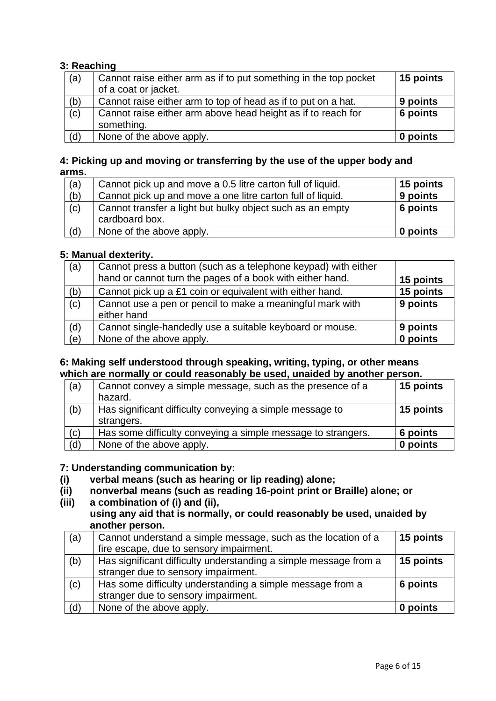#### **3: Reaching**

| (a) | Cannot raise either arm as if to put something in the top pocket<br>of a coat or jacket. | 15 points |
|-----|------------------------------------------------------------------------------------------|-----------|
| (b) | Cannot raise either arm to top of head as if to put on a hat.                            | 9 points  |
| (c) | Cannot raise either arm above head height as if to reach for<br>something.               | 6 points  |
| (d) | None of the above apply.                                                                 | 0 points  |

#### **4: Picking up and moving or transferring by the use of the upper body and arms.**

| (a) | Cannot pick up and move a 0.5 litre carton full of liquid. | 15 points |
|-----|------------------------------------------------------------|-----------|
| (b) | Cannot pick up and move a one litre carton full of liquid. | 9 points  |
| (c) | Cannot transfer a light but bulky object such as an empty  | 6 points  |
|     | cardboard box.                                             |           |
| (d) | None of the above apply.                                   | 0 points  |

#### **5: Manual dexterity.**

| (a) | Cannot press a button (such as a telephone keypad) with either<br>hand or cannot turn the pages of a book with either hand. | 15 points |
|-----|-----------------------------------------------------------------------------------------------------------------------------|-----------|
| (b) | Cannot pick up a £1 coin or equivalent with either hand.                                                                    | 15 points |
| (c) | Cannot use a pen or pencil to make a meaningful mark with<br>either hand                                                    | 9 points  |
| (d) | Cannot single-handedly use a suitable keyboard or mouse.                                                                    | 9 points  |
| (e) | None of the above apply.                                                                                                    | 0 points  |

#### **6: Making self understood through speaking, writing, typing, or other means which are normally or could reasonably be used, unaided by another person.**

| (a) | Cannot convey a simple message, such as the presence of a              | 15 points |
|-----|------------------------------------------------------------------------|-----------|
|     | hazard.                                                                |           |
| (b) | Has significant difficulty conveying a simple message to<br>strangers. | 15 points |
| (c) | Has some difficulty conveying a simple message to strangers.           | 6 points  |
| (d) | None of the above apply.                                               | 0 points  |

#### **7: Understanding communication by:**

- **(i) verbal means (such as hearing or lip reading) alone;**
- **(ii) nonverbal means (such as reading 16-point print or Braille) alone; or**
- **(iii) a combination of (i) and (ii), using any aid that is normally, or could reasonably be used, unaided by another person.**

| (a) | Cannot understand a simple message, such as the location of a    | 15 points |
|-----|------------------------------------------------------------------|-----------|
|     | fire escape, due to sensory impairment.                          |           |
| (b) | Has significant difficulty understanding a simple message from a | 15 points |
|     | stranger due to sensory impairment.                              |           |
| (c) | Has some difficulty understanding a simple message from a        | 6 points  |
|     | stranger due to sensory impairment.                              |           |
| (d) | None of the above apply.                                         | 0 points  |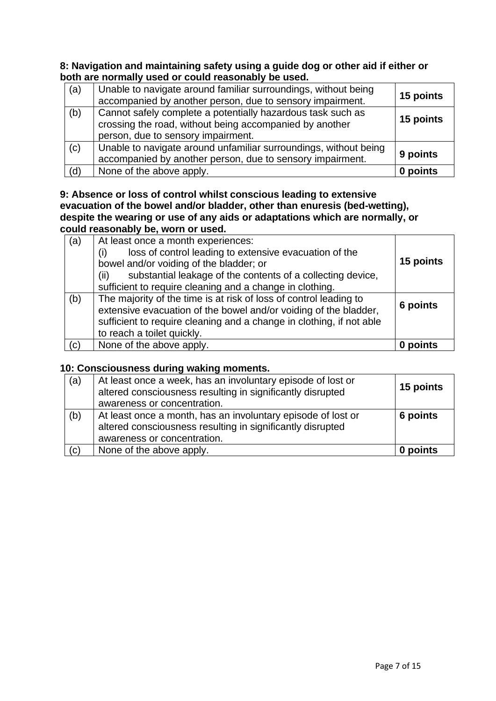**8: Navigation and maintaining safety using a guide dog or other aid if either or both are normally used or could reasonably be used.**

| (a) | Unable to navigate around familiar surroundings, without being<br>accompanied by another person, due to sensory impairment.                                  | 15 points |
|-----|--------------------------------------------------------------------------------------------------------------------------------------------------------------|-----------|
| (b) | Cannot safely complete a potentially hazardous task such as<br>crossing the road, without being accompanied by another<br>person, due to sensory impairment. | 15 points |
| (c) | Unable to navigate around unfamiliar surroundings, without being<br>accompanied by another person, due to sensory impairment.                                | 9 points  |
| (d) | None of the above apply.                                                                                                                                     | 0 points  |

#### **9: Absence or loss of control whilst conscious leading to extensive evacuation of the bowel and/or bladder, other than enuresis (bed-wetting), despite the wearing or use of any aids or adaptations which are normally, or could reasonably be, worn or used.**

| (a) | At least once a month experiences:<br>loss of control leading to extensive evacuation of the<br>(i)<br>bowel and/or voiding of the bladder; or<br>substantial leakage of the contents of a collecting device,<br>(ii)<br>sufficient to require cleaning and a change in clothing. | 15 points |
|-----|-----------------------------------------------------------------------------------------------------------------------------------------------------------------------------------------------------------------------------------------------------------------------------------|-----------|
| (b) | The majority of the time is at risk of loss of control leading to<br>extensive evacuation of the bowel and/or voiding of the bladder,<br>sufficient to require cleaning and a change in clothing, if not able<br>to reach a toilet quickly.                                       | 6 points  |
| (c) | None of the above apply.                                                                                                                                                                                                                                                          |           |

#### **10: Consciousness during waking moments.**

| (a) | At least once a week, has an involuntary episode of lost or<br>altered consciousness resulting in significantly disrupted<br>awareness or concentration.  | 15 points |
|-----|-----------------------------------------------------------------------------------------------------------------------------------------------------------|-----------|
| (b) | At least once a month, has an involuntary episode of lost or<br>altered consciousness resulting in significantly disrupted<br>awareness or concentration. | 6 points  |
| (c) | None of the above apply.                                                                                                                                  | 0 points  |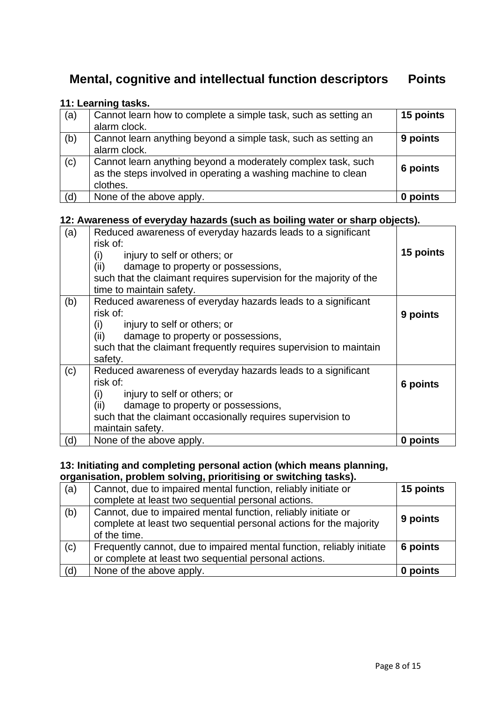# **Mental, cognitive and intellectual function descriptors Points**

#### **11: Learning tasks.**

| (a) | Cannot learn how to complete a simple task, such as setting an | 15 points |
|-----|----------------------------------------------------------------|-----------|
|     | alarm clock.                                                   |           |
| (b) | Cannot learn anything beyond a simple task, such as setting an | 9 points  |
|     | alarm clock.                                                   |           |
| (c) | Cannot learn anything beyond a moderately complex task, such   |           |
|     | as the steps involved in operating a washing machine to clean  | 6 points  |
|     | clothes.                                                       |           |
| (d) | None of the above apply.                                       | 0 points  |

#### **12: Awareness of everyday hazards (such as boiling water or sharp objects).**

| (a) | Reduced awareness of everyday hazards leads to a significant<br>risk of:<br>injury to self or others; or<br>(i)<br>(ii)<br>damage to property or possessions,<br>such that the claimant requires supervision for the majority of the<br>time to maintain safety. | 15 points |
|-----|------------------------------------------------------------------------------------------------------------------------------------------------------------------------------------------------------------------------------------------------------------------|-----------|
| (b) | Reduced awareness of everyday hazards leads to a significant<br>risk of:<br>injury to self or others; or<br>(i)<br>damage to property or possessions,<br>(ii)<br>such that the claimant frequently requires supervision to maintain<br>safety.                   | 9 points  |
| (c) | Reduced awareness of everyday hazards leads to a significant<br>risk of:<br>injury to self or others; or<br>(i)<br>damage to property or possessions,<br>(ii)<br>such that the claimant occasionally requires supervision to<br>maintain safety.                 | 6 points  |
| (d) | None of the above apply.                                                                                                                                                                                                                                         | 0 points  |

#### **13: Initiating and completing personal action (which means planning, organisation, problem solving, prioritising or switching tasks).**

| (a) | Cannot, due to impaired mental function, reliably initiate or<br>complete at least two sequential personal actions.                                 | 15 points |
|-----|-----------------------------------------------------------------------------------------------------------------------------------------------------|-----------|
| (b) | Cannot, due to impaired mental function, reliably initiate or<br>complete at least two sequential personal actions for the majority<br>of the time. | 9 points  |
| (c) | Frequently cannot, due to impaired mental function, reliably initiate<br>or complete at least two sequential personal actions.                      | 6 points  |
| (d) | None of the above apply.                                                                                                                            | 0 points  |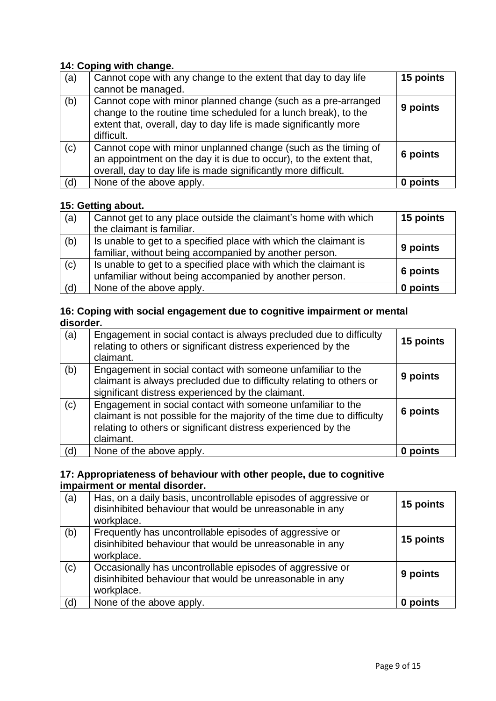#### **14: Coping with change.**

| (a) | Cannot cope with any change to the extent that day to day life<br>cannot be managed.                                                                                                                               | 15 points |
|-----|--------------------------------------------------------------------------------------------------------------------------------------------------------------------------------------------------------------------|-----------|
| (b) | Cannot cope with minor planned change (such as a pre-arranged<br>change to the routine time scheduled for a lunch break), to the<br>extent that, overall, day to day life is made significantly more<br>difficult. | 9 points  |
| (c) | Cannot cope with minor unplanned change (such as the timing of<br>an appointment on the day it is due to occur), to the extent that,<br>overall, day to day life is made significantly more difficult.             | 6 points  |
| (d) | None of the above apply.                                                                                                                                                                                           | 0 points  |

#### **15: Getting about.**

| (a) | Cannot get to any place outside the claimant's home with which   | 15 points |
|-----|------------------------------------------------------------------|-----------|
|     | the claimant is familiar.                                        |           |
| (b) | Is unable to get to a specified place with which the claimant is |           |
|     | familiar, without being accompanied by another person.           | 9 points  |
| (c) | Is unable to get to a specified place with which the claimant is |           |
|     | unfamiliar without being accompanied by another person.          | 6 points  |
| (d) | None of the above apply.                                         | 0 points  |

#### **16: Coping with social engagement due to cognitive impairment or mental disorder.**

| (a) | Engagement in social contact is always precluded due to difficulty<br>relating to others or significant distress experienced by the<br>claimant.                                                                     | 15 points |
|-----|----------------------------------------------------------------------------------------------------------------------------------------------------------------------------------------------------------------------|-----------|
| (b) | Engagement in social contact with someone unfamiliar to the<br>claimant is always precluded due to difficulty relating to others or<br>significant distress experienced by the claimant.                             | 9 points  |
| (c) | Engagement in social contact with someone unfamiliar to the<br>claimant is not possible for the majority of the time due to difficulty<br>relating to others or significant distress experienced by the<br>claimant. | 6 points  |
| (d) | None of the above apply.                                                                                                                                                                                             | 0 points  |

#### **17: Appropriateness of behaviour with other people, due to cognitive impairment or mental disorder.**

| (a) | Has, on a daily basis, uncontrollable episodes of aggressive or<br>disinhibited behaviour that would be unreasonable in any<br>workplace. | 15 points |
|-----|-------------------------------------------------------------------------------------------------------------------------------------------|-----------|
| (b) | Frequently has uncontrollable episodes of aggressive or<br>disinhibited behaviour that would be unreasonable in any<br>workplace.         | 15 points |
| (c) | Occasionally has uncontrollable episodes of aggressive or<br>disinhibited behaviour that would be unreasonable in any<br>workplace.       | 9 points  |
| (d) | None of the above apply.                                                                                                                  | 0 points  |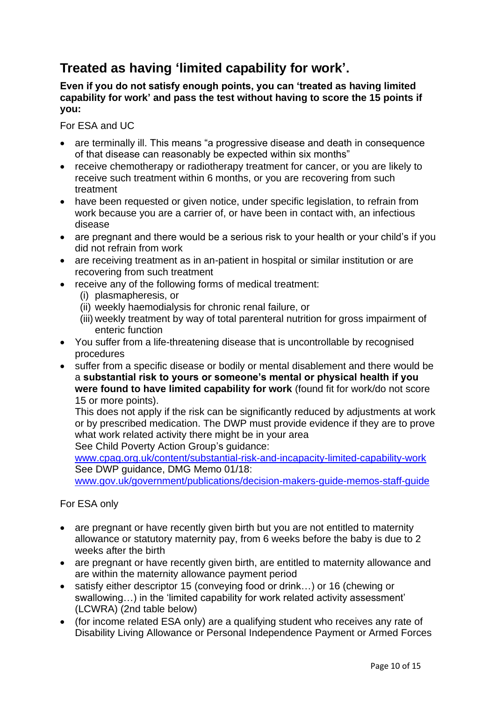# **Treated as having 'limited capability for work'.**

#### **Even if you do not satisfy enough points, you can 'treated as having limited capability for work' and pass the test without having to score the 15 points if you:**

For ESA and UC

- are terminally ill. This means "a progressive disease and death in consequence of that disease can reasonably be expected within six months"
- receive chemotherapy or radiotherapy treatment for cancer, or you are likely to receive such treatment within 6 months, or you are recovering from such treatment
- have been requested or given notice, under specific legislation, to refrain from work because you are a carrier of, or have been in contact with, an infectious disease
- are pregnant and there would be a serious risk to your health or your child's if you did not refrain from work
- are receiving treatment as in an-patient in hospital or similar institution or are recovering from such treatment
- receive any of the following forms of medical treatment:
	- (i) plasmapheresis, or
	- (ii) weekly haemodialysis for chronic renal failure, or
	- (iii) weekly treatment by way of total parenteral nutrition for gross impairment of enteric function
- You suffer from a life-threatening disease that is uncontrollable by recognised procedures
- suffer from a specific disease or bodily or mental disablement and there would be a **substantial risk to yours or someone's mental or physical health if you were found to have limited capability for work** (found fit for work/do not score 15 or more points).

This does not apply if the risk can be significantly reduced by adjustments at work or by prescribed medication. The DWP must provide evidence if they are to prove what work related activity there might be in your area See Child Poverty Action Group's guidance:

[www.cpag.org.uk/content/substantial-risk-and-incapacity-limited-capability-work](http://www.cpag.org.uk/content/substantial-risk-and-incapacity-limited-capability-work)  See DWP guidance, DMG Memo 01/18:

[www.gov.uk/government/publications/decision-makers-guide-memos-staff-guide](http://www.gov.uk/government/publications/decision-makers-guide-memos-staff-guide)

For ESA only

- are pregnant or have recently given birth but you are not entitled to maternity allowance or statutory maternity pay, from 6 weeks before the baby is due to 2 weeks after the birth
- are pregnant or have recently given birth, are entitled to maternity allowance and are within the maternity allowance payment period
- satisfy either descriptor 15 (conveying food or drink…) or 16 (chewing or swallowing…) in the 'limited capability for work related activity assessment' (LCWRA) (2nd table below)
- (for income related ESA only) are a qualifying student who receives any rate of Disability Living Allowance or Personal Independence Payment or Armed Forces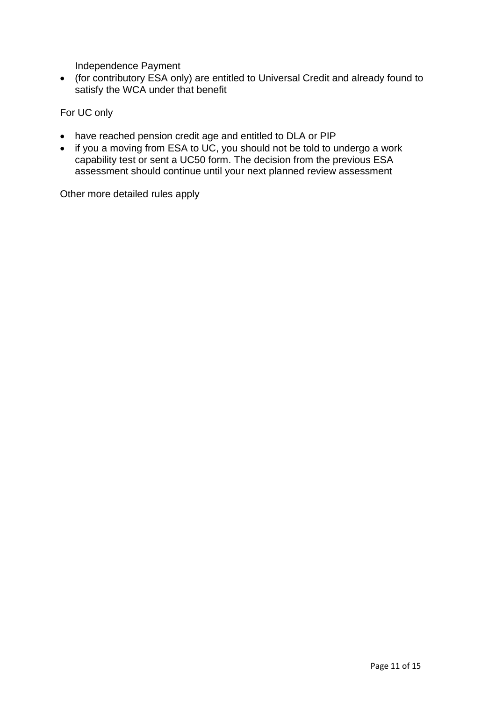Independence Payment

• (for contributory ESA only) are entitled to Universal Credit and already found to satisfy the WCA under that benefit

For UC only

- have reached pension credit age and entitled to DLA or PIP
- if you a moving from ESA to UC, you should not be told to undergo a work capability test or sent a UC50 form. The decision from the previous ESA assessment should continue until your next planned review assessment

Other more detailed rules apply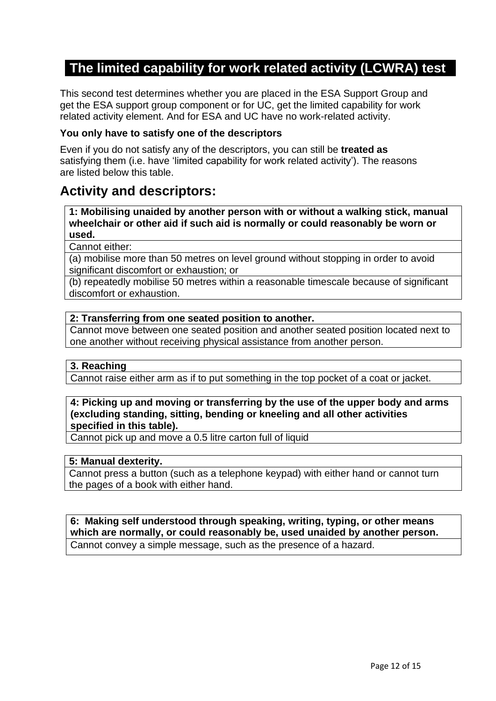# **The limited capability for work related activity (LCWRA) test**

This second test determines whether you are placed in the ESA Support Group and get the ESA support group component or for UC, get the limited capability for work related activity element. And for ESA and UC have no work-related activity.

#### **You only have to satisfy one of the descriptors**

Even if you do not satisfy any of the descriptors, you can still be **treated as** satisfying them (i.e. have 'limited capability for work related activity'). The reasons are listed below this table.

## **Activity and descriptors:**

**1: Mobilising unaided by another person with or without a walking stick, manual wheelchair or other aid if such aid is normally or could reasonably be worn or used.**

Cannot either:

(a) mobilise more than 50 metres on level ground without stopping in order to avoid significant discomfort or exhaustion; or

(b) repeatedly mobilise 50 metres within a reasonable timescale because of significant discomfort or exhaustion.

#### **2: Transferring from one seated position to another.**

Cannot move between one seated position and another seated position located next to one another without receiving physical assistance from another person.

#### **3. Reaching**

Cannot raise either arm as if to put something in the top pocket of a coat or jacket.

#### **4: Picking up and moving or transferring by the use of the upper body and arms (excluding standing, sitting, bending or kneeling and all other activities specified in this table).**

Cannot pick up and move a 0.5 litre carton full of liquid

#### **5: Manual dexterity.**

Cannot press a button (such as a telephone keypad) with either hand or cannot turn the pages of a book with either hand.

**6: Making self understood through speaking, writing, typing, or other means which are normally, or could reasonably be, used unaided by another person.** Cannot convey a simple message, such as the presence of a hazard.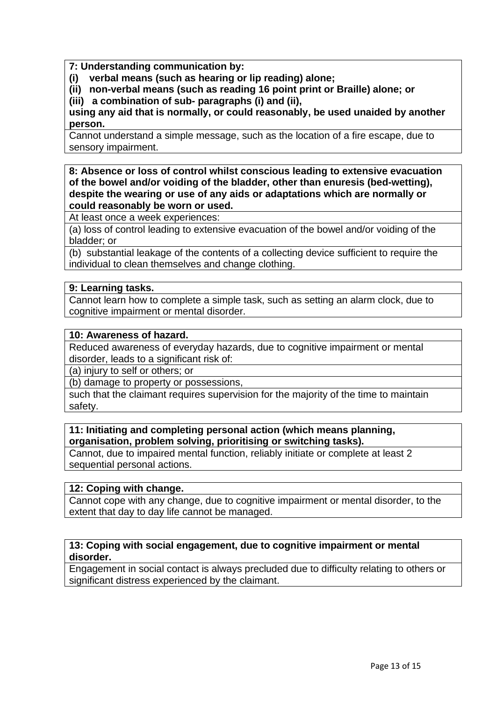**7: Understanding communication by:** 

**(i) verbal means (such as hearing or lip reading) alone;**

**(ii) non-verbal means (such as reading 16 point print or Braille) alone; or (iii) a combination of sub- paragraphs (i) and (ii),** 

**using any aid that is normally, or could reasonably, be used unaided by another person.**

Cannot understand a simple message, such as the location of a fire escape, due to sensory impairment.

#### **8: Absence or loss of control whilst conscious leading to extensive evacuation of the bowel and/or voiding of the bladder, other than enuresis (bed-wetting), despite the wearing or use of any aids or adaptations which are normally or could reasonably be worn or used.**

At least once a week experiences:

(a) loss of control leading to extensive evacuation of the bowel and/or voiding of the bladder; or

(b) substantial leakage of the contents of a collecting device sufficient to require the individual to clean themselves and change clothing.

#### **9: Learning tasks.**

Cannot learn how to complete a simple task, such as setting an alarm clock, due to cognitive impairment or mental disorder.

#### **10: Awareness of hazard.**

Reduced awareness of everyday hazards, due to cognitive impairment or mental disorder, leads to a significant risk of:

(a) injury to self or others; or

(b) damage to property or possessions,

such that the claimant requires supervision for the majority of the time to maintain safety.

#### **11: Initiating and completing personal action (which means planning, organisation, problem solving, prioritising or switching tasks).**

Cannot, due to impaired mental function, reliably initiate or complete at least 2 sequential personal actions.

#### **12: Coping with change.**

Cannot cope with any change, due to cognitive impairment or mental disorder, to the extent that day to day life cannot be managed.

#### **13: Coping with social engagement, due to cognitive impairment or mental disorder.**

Engagement in social contact is always precluded due to difficulty relating to others or significant distress experienced by the claimant.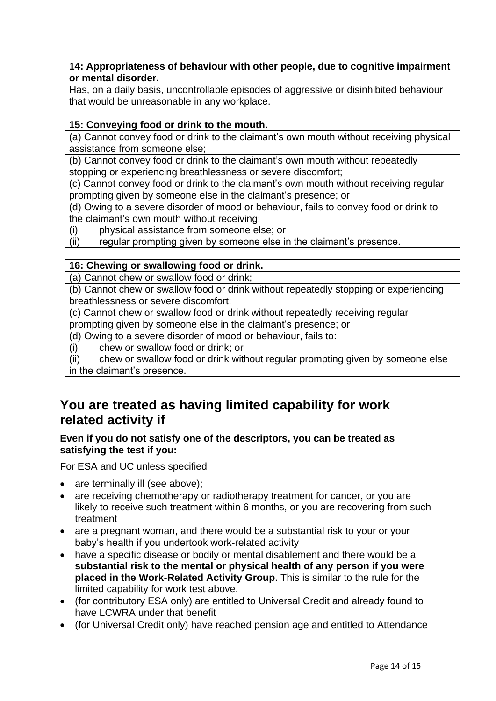#### **14: Appropriateness of behaviour with other people, due to cognitive impairment or mental disorder.**

Has, on a daily basis, uncontrollable episodes of aggressive or disinhibited behaviour that would be unreasonable in any workplace.

#### **15: Conveying food or drink to the mouth.**

(a) Cannot convey food or drink to the claimant's own mouth without receiving physical assistance from someone else;

(b) Cannot convey food or drink to the claimant's own mouth without repeatedly stopping or experiencing breathlessness or severe discomfort;

(c) Cannot convey food or drink to the claimant's own mouth without receiving regular prompting given by someone else in the claimant's presence; or

(d) Owing to a severe disorder of mood or behaviour, fails to convey food or drink to the claimant's own mouth without receiving:

(i) physical assistance from someone else; or

(ii) regular prompting given by someone else in the claimant's presence.

#### **16: Chewing or swallowing food or drink.**

(a) Cannot chew or swallow food or drink;

(b) Cannot chew or swallow food or drink without repeatedly stopping or experiencing breathlessness or severe discomfort;

(c) Cannot chew or swallow food or drink without repeatedly receiving regular prompting given by someone else in the claimant's presence; or

- (d) Owing to a severe disorder of mood or behaviour, fails to:
- (i) chew or swallow food or drink; or

(ii) chew or swallow food or drink without regular prompting given by someone else in the claimant's presence.

# **You are treated as having limited capability for work related activity if**

#### **Even if you do not satisfy one of the descriptors, you can be treated as satisfying the test if you:**

For ESA and UC unless specified

- are terminally ill (see above);
- are receiving chemotherapy or radiotherapy treatment for cancer, or you are likely to receive such treatment within 6 months, or you are recovering from such treatment
- are a pregnant woman, and there would be a substantial risk to your or your baby's health if you undertook work-related activity
- have a specific disease or bodily or mental disablement and there would be a **substantial risk to the mental or physical health of any person if you were placed in the Work-Related Activity Group**. This is similar to the rule for the limited capability for work test above.
- (for contributory ESA only) are entitled to Universal Credit and already found to have LCWRA under that benefit
- (for Universal Credit only) have reached pension age and entitled to Attendance